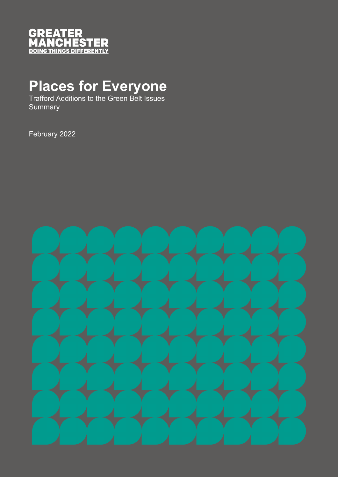

## **Places for Everyone**

Trafford Additions to the Green Belt Issues **Summary** 

February 2022

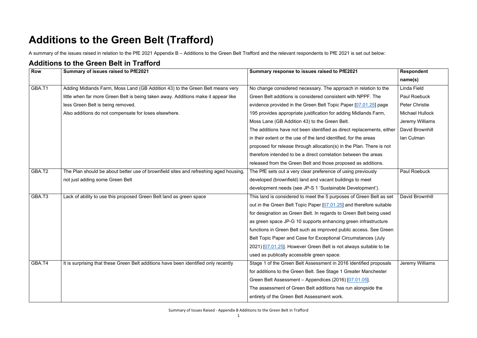Summary of Issues Raised - Appendix B Additions to the Green Belt in Trafford

## **Additions to the Green Belt (Trafford)**

A summary of the issues raised in relation to the PfE 2021 Appendix B – Additions to the Green Belt Trafford and the relevant respondents to PfE 2021 is set out below:

## **Additions to the Green Belt in Trafford**

| <b>Row</b> | Summary of issues raised to PfE2021                                                  | Summary response to issues raised to PfE2021                          | <b>Respondent</b>      |
|------------|--------------------------------------------------------------------------------------|-----------------------------------------------------------------------|------------------------|
|            |                                                                                      |                                                                       | name(s)                |
| GBA.T1     | Adding Midlands Farm, Moss Land (GB Addition 43) to the Green Belt means very        | No change considered necessary. The approach in relation to the       | Linda Field            |
|            | little when far more Green Belt is being taken away. Additions make it appear like   | Green Belt additions is considered consistent with NPPF. The          | Paul Roebuck           |
|            | less Green Belt is being removed.                                                    | evidence provided in the Green Belt Topic Paper [07.01.25] page       | <b>Peter Christie</b>  |
|            | Also additions do not compensate for loses elsewhere.                                | 195 provides appropriate justification for adding Midlands Farm,      | <b>Michael Hullock</b> |
|            |                                                                                      | Moss Lane (GB Addition 43) to the Green Belt.                         | Jeremy Williams        |
|            |                                                                                      | The additions have not been identified as direct replacements, either | David Brownhill        |
|            |                                                                                      | in their extent or the use of the land identified, for the areas      | Ian Culman             |
|            |                                                                                      | proposed for release through allocation(s) in the Plan. There is not  |                        |
|            |                                                                                      | therefore intended to be a direct correlation between the areas       |                        |
|            |                                                                                      | released from the Green Belt and those proposed as additions.         |                        |
| GBA.T2     | The Plan should be about better use of brownfield sites and refreshing aged housing, | The PfE sets out a very clear preference of using previously          | <b>Paul Roebuck</b>    |
|            | not just adding some Green Belt                                                      | developed (brownfield) land and vacant buildings to meet              |                        |
|            |                                                                                      | development needs (see JP-S 1 'Sustainable Development').             |                        |
| GBA.T3     | Lack of ability to use this proposed Green Belt land as green space                  | This land is considered to meet the 5 purposes of Green Belt as set   | David Brownhill        |
|            |                                                                                      | out in the Green Belt Topic Paper [07.01.25] and therefore suitable   |                        |
|            |                                                                                      | for designation as Green Belt. In regards to Green Belt being used    |                        |
|            |                                                                                      | as green space JP-G 10 supports enhancing green infrastructure        |                        |
|            |                                                                                      | functions in Green Belt such as improved public access. See Green     |                        |
|            |                                                                                      | Belt Topic Paper and Case for Exceptional Circumstances (July         |                        |
|            |                                                                                      | 2021) [07.01.25]. However Green Belt is not always suitable to be     |                        |
|            |                                                                                      | used as publically accessible green space.                            |                        |
| GBA.T4     | It is surprising that these Green Belt additions have been identified only recently  | Stage 1 of the Green Belt Assessment in 2016 identified proposals     | Jeremy Williams        |
|            |                                                                                      | for additions to the Green Belt. See Stage 1 Greater Manchester       |                        |
|            |                                                                                      | Green Belt Assessment - Appendices (2016) [07.01.05].                 |                        |
|            |                                                                                      | The assessment of Green Belt additions has run alongside the          |                        |
|            |                                                                                      | entirety of the Green Belt Assessment work.                           |                        |
|            |                                                                                      |                                                                       |                        |